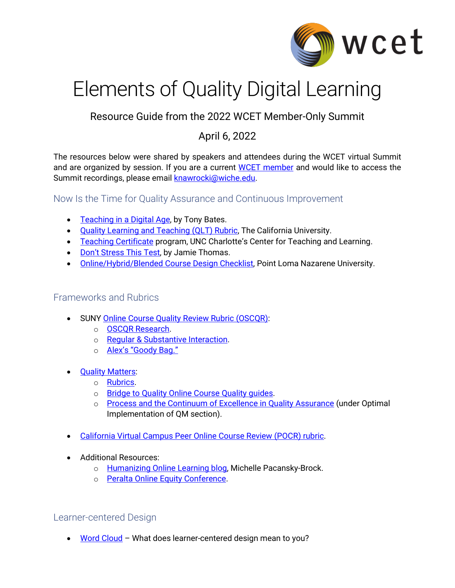

# Elements of Quality Digital Learning

Resource Guide from the 2022 WCET Member-Only Summit

## April 6, 2022

The resources below were shared by speakers and attendees during the WCET virtual Summit and are organized by session. If you are a current [WCET member](https://wcet.wiche.edu/join-us/meet-our-members/) and would like to access the Summit recordings, please email [knawrocki@wiche.edu.](mailto:knawrocki@wiche.edu)

Now Is the Time for Quality Assurance and Continuous Improvement

- [Teaching in a Digital Age,](https://opentextbc.ca/teachinginadigitalage/) by Tony Bates.
- [Quality Learning and Teaching \(QLT\) Rubric,](https://ocs.calstate.edu/rubrics/qlt) The California University.
- [Teaching Certificate](https://teaching.charlotte.edu/services-programs/teaching-certificate) program, UNC Charlotte's Center for Teaching and Learning.
- [Don't Stress This Test,](https://onlinenetworkofeducators.org/2022/04/01/dont-stress-this-test/) by Jamie Thomas.
- [Online/Hybrid/Blended Course Design Checklist,](https://docs.google.com/document/d/1k9uupF9Ey32sYLkB2-Uhk_ZVci-_nIO3/edit?usp=sharing&ouid=108448446042519309541&rtpof=true&sd=true) Point Loma Nazarene University.

### Frameworks and Rubrics

- SUNY [Online Course Quality Review Rubric \(OSCQR\):](https://oscqr.suny.edu/)
	- o [OSCQR Research.](https://oscqr.suny.edu/research/)
	- o [Regular & Substantive Interaction.](https://oscqr.suny.edu/rsi/)
	- o [Alex's "Goody Bag."](https://bit.ly/WCETsummit2022)
- **[Quality Matters:](https://www.qualitymatters.org/)** 
	- o [Rubrics.](https://www.qualitymatters.org/qa-resources/rubric-standards)
	- o Bridge to Quality Online Course Quality guides.
	- o [Process and the Continuum of Excellence in Quality Assurance](https://www.qualitymatters.org/why-quality-matters/process) (under Optimal Implementation of QM section).
- [California Virtual Campus Peer Online Course Review \(POCR\) rubric.](https://onlinenetworkofeducators.org/course-design-academy/online-course-rubric/)
- Additional Resources:
	- o [Humanizing Online Learning blog,](https://brocansky.com/humanizing-online-learning) Michelle Pacansky-Brock.
	- o [Peralta Online Equity Conference.](https://sites.google.com/view/peraltaequityconference)

Learner-centered Design

• Word Cloud - What does learner-centered design mean to you?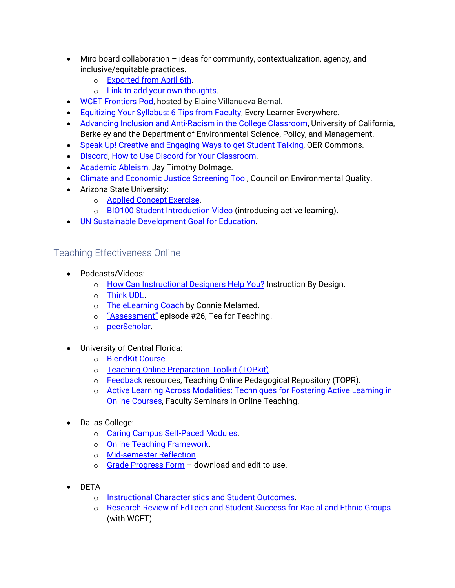- Miro board collaboration ideas for community, contextualization, agency, and inclusive/equitable practices.
	- o **[Exported from April 6th.](https://custom.cvent.com/2CB88728B56B4B68ACC7766F29845219/files/7864e8e2a9aa4e7cbb2019ef5e81cc6a.jpg)**
	- o [Link to add your own](https://miro.com/app/board/uXjVOANkU-c=/?invite_link_id=449870006879) thoughts.
- WCET [Frontiers Pod,](https://wcet.wiche.edu/resources/?publication-type=569) hosted by Elaine Villanueva Bernal.
- [Equitizing Your Syllabus: 6 Tips from Faculty,](https://www.everylearnereverywhere.org/blog/equitizing-your-syllabus-6-tips-from-faculty/) Every Learner Everywhere.
- [Advancing Inclusion and Anti-Racism in the College Classroom,](https://zenodo.org/record/5874656#.Yk2whS-B1qs) University of California, Berkeley and the Department of Environmental Science, Policy, and Management.
- Speak Up! Creative and Engaging Ways to get Student Talking, OER Commons.
- [Discord,](https://discord.com/) [How to Use Discord for Your Classroom.](https://support.discord.com/hc/en-us/articles/360040613072-How-to-Use-Discord-for-Your-Classroom)
- [Academic Ableism,](https://www.jstor.org/stable/j.ctvr33d50) Jay Timothy Dolmage.
- [Climate and Economic Justice Screening Tool,](https://screeningtool.geoplatform.gov/en/) Council on Environmental Quality.
- Arizona State University:
	- o [Applied Concept Exercise.](https://docs.google.com/document/d/17ISrYE0kpswTY5E9XHZVyEpqq9au5rTw/edit?usp=sharing&ouid=117014939654374023901&rtpof=true&sd=true)
	- o [BIO100 Student Introduction Video](https://drive.google.com/file/d/0B3a9ZeaHvJnHTk9EanJkbUY0cHM/view?usp=sharing&resourcekey=0-OxiYBVywUkuC07IIhp6rsQ) (introducing active learning).
- [UN Sustainable Development Goal for Education.](https://www.un.org/sustainabledevelopment/education/)

Teaching Effectiveness Online

- Podcasts/Videos:
	- o [How Can Instructional Designers Help You?](https://soundcloud.com/ibd_podcast/season-01-episode-03-how-can-instructional-designers-help-you) Instruction By Design.
	- o [Think UDL.](https://thinkudl.org/)
	- o [The eLearning Coach](https://theelearningcoach.com/) by Connie Melamed.
	- o ["Assessment"](https://teaforteaching.com/26-assessment) episode #26, Tea for Teaching.
	- o [peerScholar.](https://videos.peerscholar.com/)
- University of Central Florida:
	- o [BlendKit Course.](http://bit.ly/blendkit_diy)
	- o [Teaching Online Preparation Toolkit \(TOPkit\).](http://topkit.org/)
	- o [Feedback](https://topr.online.ucf.edu/?s=feedback) resources, Teaching Online Pedagogical Repository (TOPR).
	- o Active Learning Across Modalities: Techniques for Fostering Active Learning in [Online Courses,](https://cdl.ucf.edu/faculty-seminar22/) Faculty Seminars in Online Teaching.
- Dallas College:
	- o [Caring Campus Self-Paced Modules.](https://custom.cvent.com/2CB88728B56B4B68ACC7766F29845219/files/1cef973439174250b12f91d8883a8d30.pdf)
	- o [Online Teaching Framework.](https://custom.cvent.com/2CB88728B56B4B68ACC7766F29845219/files/16db290f0e224d5da9e890d6c3706ae9.pdf)
	- o [Mid-semester Reflection.](https://custom.cvent.com/2CB88728B56B4B68ACC7766F29845219/files/044095cde11d45258391dc5e7e16179b.pdf)
	- $\circ$  [Grade Progress Form](https://docs.google.com/forms/d/10EKrAw67XjUh1YSBBdhZchIMgZF0VH97zEwxQhXvcns/viewform?edit_requested=true)  download and edit to use.
- DETA
	- o [Instructional Characteristics and Student Outcomes.](https://detaresearch.org/news-events/publications/instructional-characteristics-and-student-outcomes/)
	- o [Research Review of EdTech and Student Success for Racial and Ethnic Groups](https://wcet.wiche.edu/frontiers/2021/05/17/new-report-research-review-of-edtech-student-success-racial-and-ethnic-groups/) (with WCET).